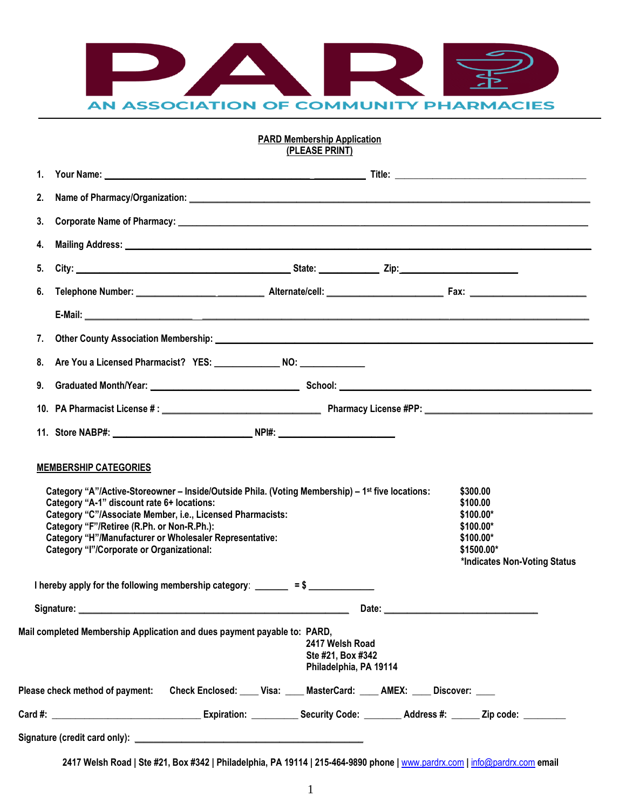

## **PARD Membership Application (PLEASE PRINT)**

| 1.                              |                                                                                                                                                                                                                                                                                                                                                                           |                                                                |  |                                                                                                              |  |  |
|---------------------------------|---------------------------------------------------------------------------------------------------------------------------------------------------------------------------------------------------------------------------------------------------------------------------------------------------------------------------------------------------------------------------|----------------------------------------------------------------|--|--------------------------------------------------------------------------------------------------------------|--|--|
| 2.                              |                                                                                                                                                                                                                                                                                                                                                                           |                                                                |  |                                                                                                              |  |  |
| 3.                              |                                                                                                                                                                                                                                                                                                                                                                           |                                                                |  |                                                                                                              |  |  |
| 4.                              |                                                                                                                                                                                                                                                                                                                                                                           |                                                                |  |                                                                                                              |  |  |
| 5.                              |                                                                                                                                                                                                                                                                                                                                                                           |                                                                |  |                                                                                                              |  |  |
| 6.                              |                                                                                                                                                                                                                                                                                                                                                                           |                                                                |  |                                                                                                              |  |  |
|                                 |                                                                                                                                                                                                                                                                                                                                                                           |                                                                |  |                                                                                                              |  |  |
| 7.                              |                                                                                                                                                                                                                                                                                                                                                                           |                                                                |  |                                                                                                              |  |  |
| 8.                              | Are You a Licensed Pharmacist? YES: NO: NO:                                                                                                                                                                                                                                                                                                                               |                                                                |  |                                                                                                              |  |  |
| 9.                              |                                                                                                                                                                                                                                                                                                                                                                           |                                                                |  |                                                                                                              |  |  |
|                                 |                                                                                                                                                                                                                                                                                                                                                                           |                                                                |  |                                                                                                              |  |  |
|                                 |                                                                                                                                                                                                                                                                                                                                                                           |                                                                |  |                                                                                                              |  |  |
|                                 | Category "A"/Active-Storeowner - Inside/Outside Phila. (Voting Membership) - 1st five locations:<br>Category "A-1" discount rate 6+ locations:<br>Category "C"/Associate Member, i.e., Licensed Pharmacists:<br>Category "F"/Retiree (R.Ph. or Non-R.Ph.):<br>Category "H"/Manufacturer or Wholesaler Representative:<br><b>Category "I"/Corporate or Organizational:</b> |                                                                |  | \$300,00<br>\$100.00<br>$$100.00*$<br>$$100.00*$<br>$$100.00*$<br>\$1500.00*<br>*Indicates Non-Voting Status |  |  |
|                                 | I hereby apply for the following membership category: $\frac{\ }{\ }$ = \$ _____________                                                                                                                                                                                                                                                                                  |                                                                |  |                                                                                                              |  |  |
|                                 |                                                                                                                                                                                                                                                                                                                                                                           |                                                                |  |                                                                                                              |  |  |
|                                 | Mail completed Membership Application and dues payment payable to: PARD,                                                                                                                                                                                                                                                                                                  | 2417 Welsh Road<br>Ste #21, Box #342<br>Philadelphia, PA 19114 |  |                                                                                                              |  |  |
| Please check method of payment: | Check Enclosed: ____ Visa: ____ MasterCard: ____ AMEX: ____ Discover: ____                                                                                                                                                                                                                                                                                                |                                                                |  |                                                                                                              |  |  |
|                                 |                                                                                                                                                                                                                                                                                                                                                                           |                                                                |  | Expiration: _____________ Security Code: _________ Address #: _______ Zip code: __________                   |  |  |
|                                 |                                                                                                                                                                                                                                                                                                                                                                           |                                                                |  |                                                                                                              |  |  |

**2417 Welsh Road | Ste #21, Box #342 | Philadelphia, PA 19114 | 215-464-9890 phone |** [www.pardrx.com](http://www.pardrx.com/) **|** [info@pardrx.com](mailto:info@pardrx.com) **email**